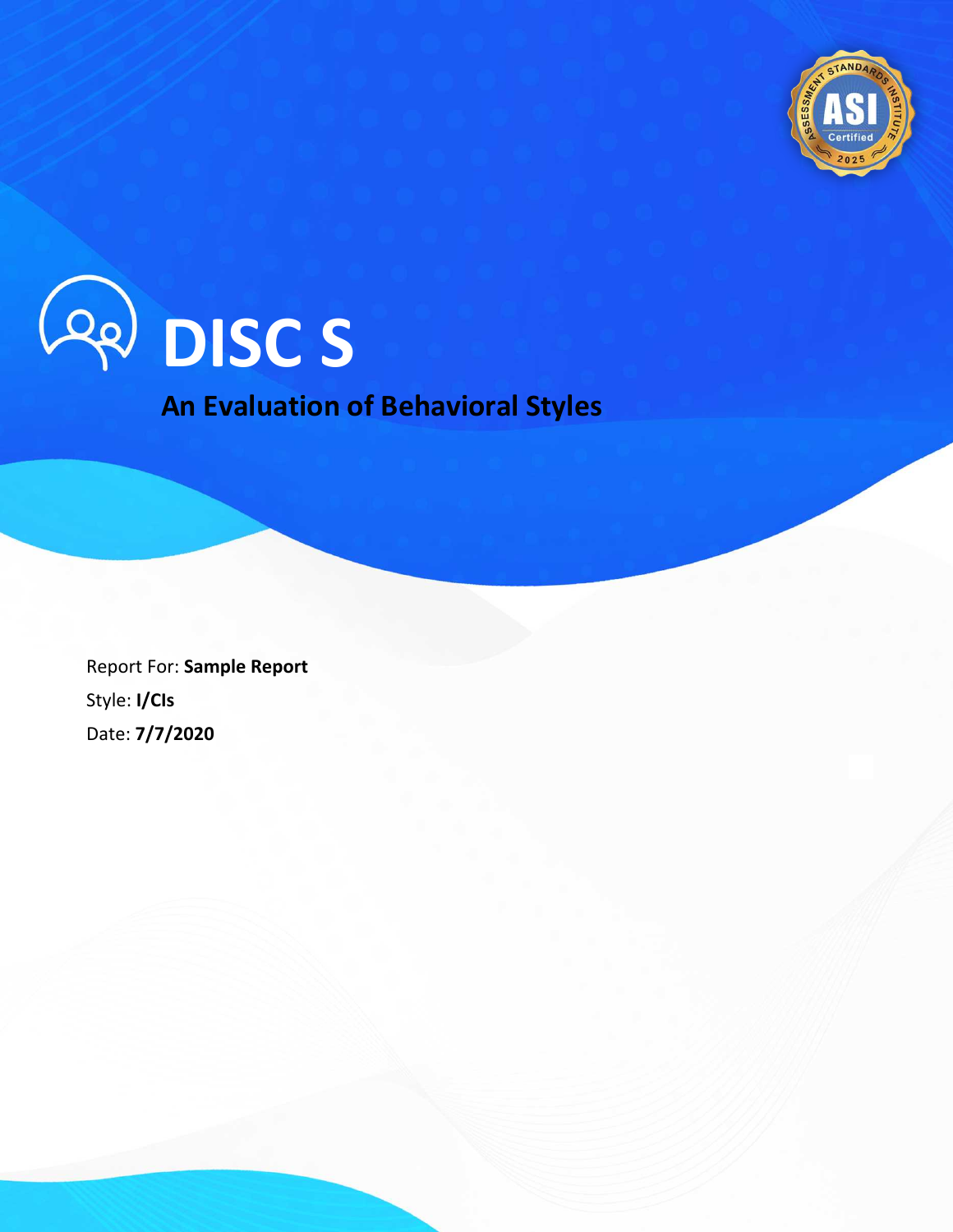



**An Evaluation of Behavioral Styles**

Copyright © 2020 All rights reserved. 1

**Assessments 24x7** 206-400-6647 www.Assessments24x7.com

Report For: **Sample Report** Style: **I/CIs** Date: **7/7/2020**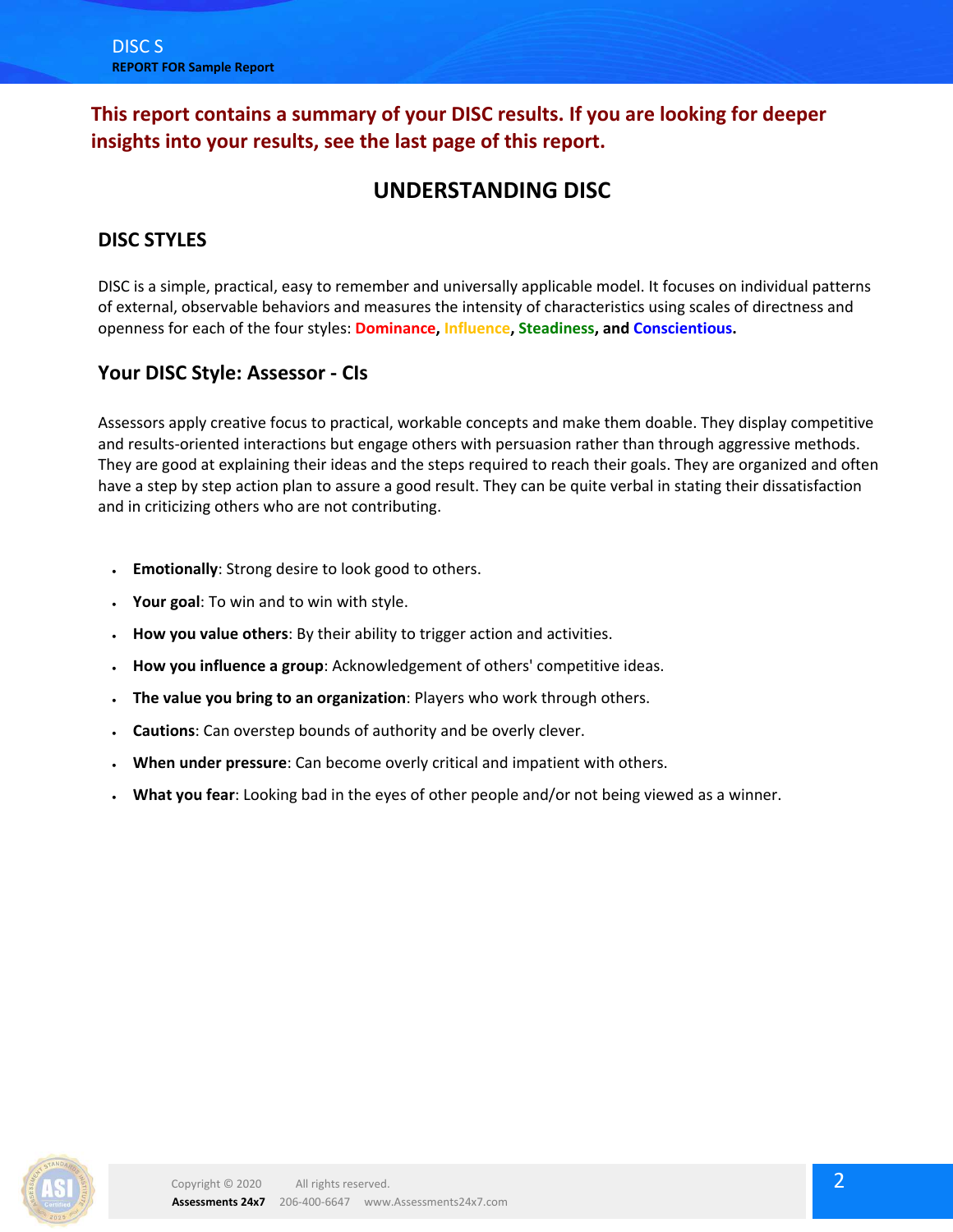## **This report contains a summary of your DISC results. If you are looking for deeper insights into your results, see the last page of this report.**

## **UNDERSTANDING DISC**

## **DISC STYLES**

DISC is a simple, practical, easy to remember and universally applicable model. It focuses on individual patterns of external, observable behaviors and measures the intensity of characteristics using scales of directness and openness for each of the four styles: **Dominance, Influence, Steadiness, and Conscientious.**

## **Your DISC Style: Assessor - CIs**

Assessors apply creative focus to practical, workable concepts and make them doable. They display competitive and results-oriented interactions but engage others with persuasion rather than through aggressive methods. They are good at explaining their ideas and the steps required to reach their goals. They are organized and often have a step by step action plan to assure a good result. They can be quite verbal in stating their dissatisfaction and in criticizing others who are not contributing.

- **Emotionally**: Strong desire to look good to others.
- **Your goal**: To win and to win with style.
- **How you value others**: By their ability to trigger action and activities.
- **How you influence a group**: Acknowledgement of others' competitive ideas.
- **The value you bring to an organization**: Players who work through others.
- **Cautions**: Can overstep bounds of authority and be overly clever.
- **When under pressure**: Can become overly critical and impatient with others.
- **What you fear**: Looking bad in the eyes of other people and/or not being viewed as a winner.

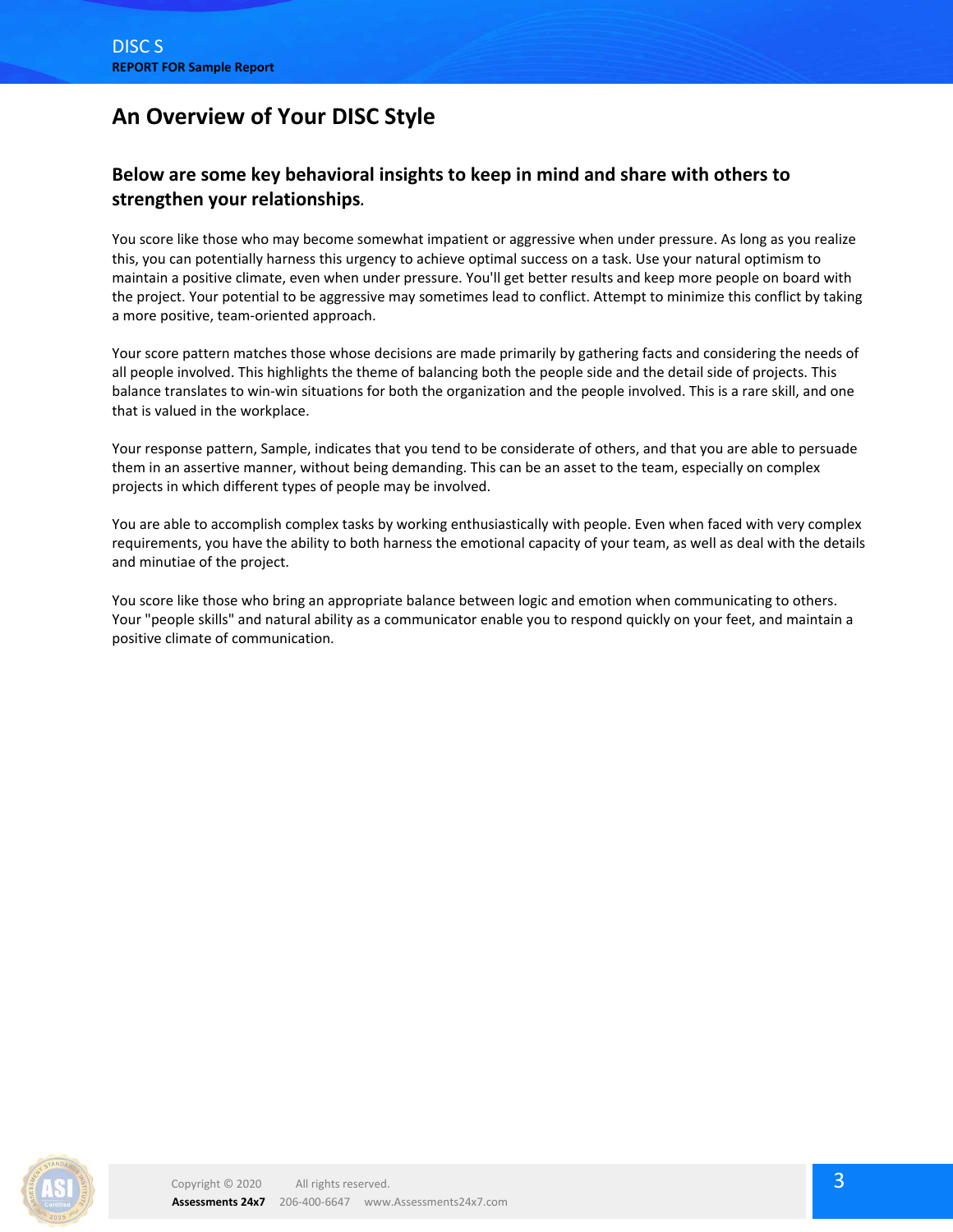# **An Overview of Your DISC Style**

### **Below are some key behavioral insights to keep in mind and share with others to strengthen your relationships***.*

You score like those who may become somewhat impatient or aggressive when under pressure. As long as you realize this, you can potentially harness this urgency to achieve optimal success on a task. Use your natural optimism to maintain a positive climate, even when under pressure. You'll get better results and keep more people on board with the project. Your potential to be aggressive may sometimes lead to conflict. Attempt to minimize this conflict by taking a more positive, team-oriented approach.

Your score pattern matches those whose decisions are made primarily by gathering facts and considering the needs of all people involved. This highlights the theme of balancing both the people side and the detail side of projects. This balance translates to win-win situations for both the organization and the people involved. This is a rare skill, and one that is valued in the workplace.

Your response pattern, Sample, indicates that you tend to be considerate of others, and that you are able to persuade them in an assertive manner, without being demanding. This can be an asset to the team, especially on complex projects in which different types of people may be involved.

You are able to accomplish complex tasks by working enthusiastically with people. Even when faced with very complex requirements, you have the ability to both harness the emotional capacity of your team, as well as deal with the details and minutiae of the project.

You score like those who bring an appropriate balance between logic and emotion when communicating to others. Your "people skills" and natural ability as a communicator enable you to respond quickly on your feet, and maintain a positive climate of communication.

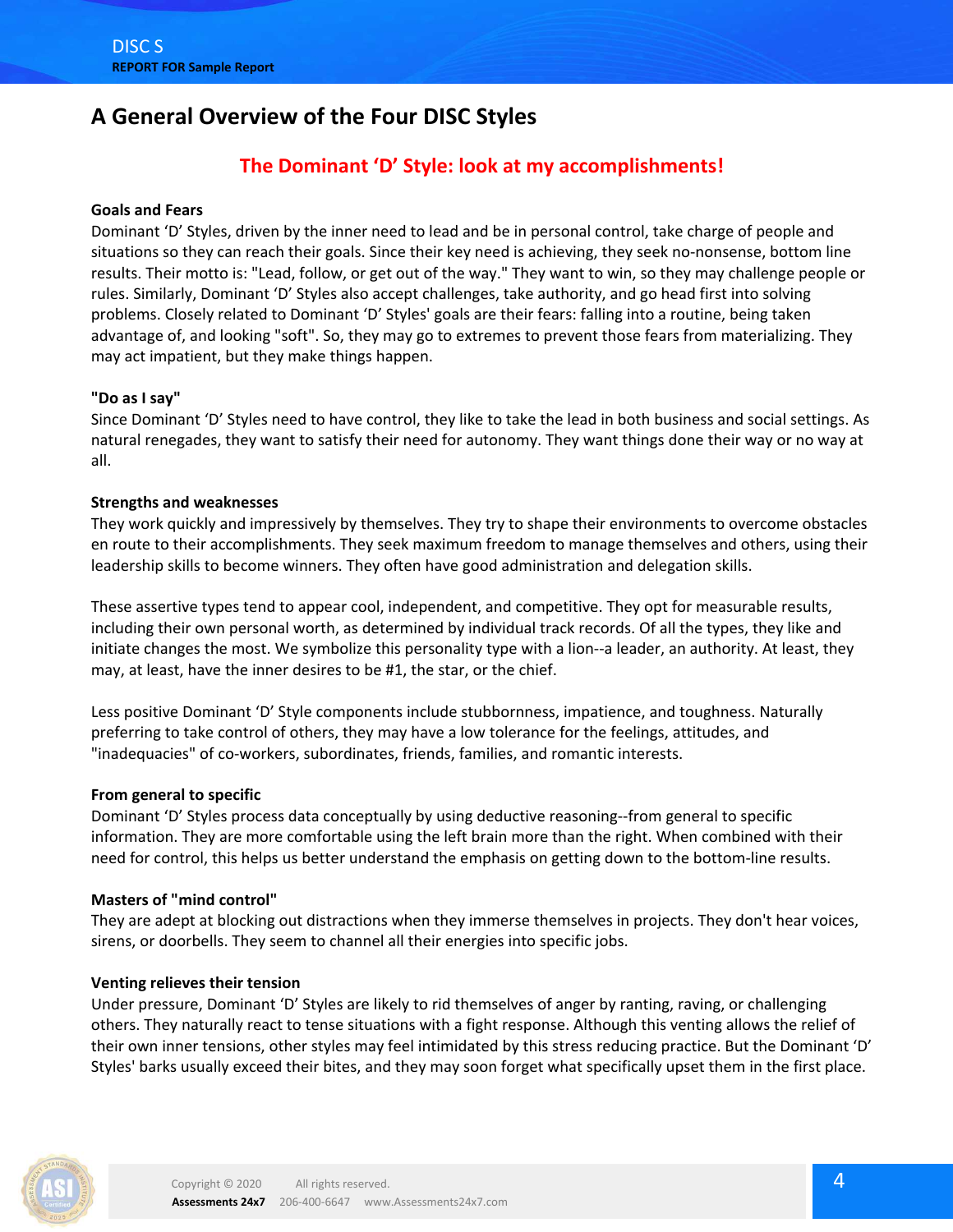## **A General Overview of the Four DISC Styles**

## **The Dominant 'D' Style: look at my accomplishments!**

#### **Goals and Fears**

Dominant 'D' Styles, driven by the inner need to lead and be in personal control, take charge of people and situations so they can reach their goals. Since their key need is achieving, they seek no-nonsense, bottom line results. Their motto is: "Lead, follow, or get out of the way." They want to win, so they may challenge people or rules. Similarly, Dominant 'D' Styles also accept challenges, take authority, and go head first into solving problems. Closely related to Dominant 'D' Styles' goals are their fears: falling into a routine, being taken advantage of, and looking "soft". So, they may go to extremes to prevent those fears from materializing. They may act impatient, but they make things happen.

#### **"Do as I say"**

Since Dominant 'D' Styles need to have control, they like to take the lead in both business and social settings. As natural renegades, they want to satisfy their need for autonomy. They want things done their way or no way at all.

#### **Strengths and weaknesses**

They work quickly and impressively by themselves. They try to shape their environments to overcome obstacles en route to their accomplishments. They seek maximum freedom to manage themselves and others, using their leadership skills to become winners. They often have good administration and delegation skills.

These assertive types tend to appear cool, independent, and competitive. They opt for measurable results, including their own personal worth, as determined by individual track records. Of all the types, they like and initiate changes the most. We symbolize this personality type with a lion--a leader, an authority. At least, they may, at least, have the inner desires to be #1, the star, or the chief.

Less positive Dominant 'D' Style components include stubbornness, impatience, and toughness. Naturally preferring to take control of others, they may have a low tolerance for the feelings, attitudes, and "inadequacies" of co-workers, subordinates, friends, families, and romantic interests.

#### **From general to specific**

Dominant 'D' Styles process data conceptually by using deductive reasoning--from general to specific information. They are more comfortable using the left brain more than the right. When combined with their need for control, this helps us better understand the emphasis on getting down to the bottom-line results.

#### **Masters of "mind control"**

They are adept at blocking out distractions when they immerse themselves in projects. They don't hear voices, sirens, or doorbells. They seem to channel all their energies into specific jobs.

#### **Venting relieves their tension**

Under pressure, Dominant 'D' Styles are likely to rid themselves of anger by ranting, raving, or challenging others. They naturally react to tense situations with a fight response. Although this venting allows the relief of their own inner tensions, other styles may feel intimidated by this stress reducing practice. But the Dominant 'D' Styles' barks usually exceed their bites, and they may soon forget what specifically upset them in the first place.

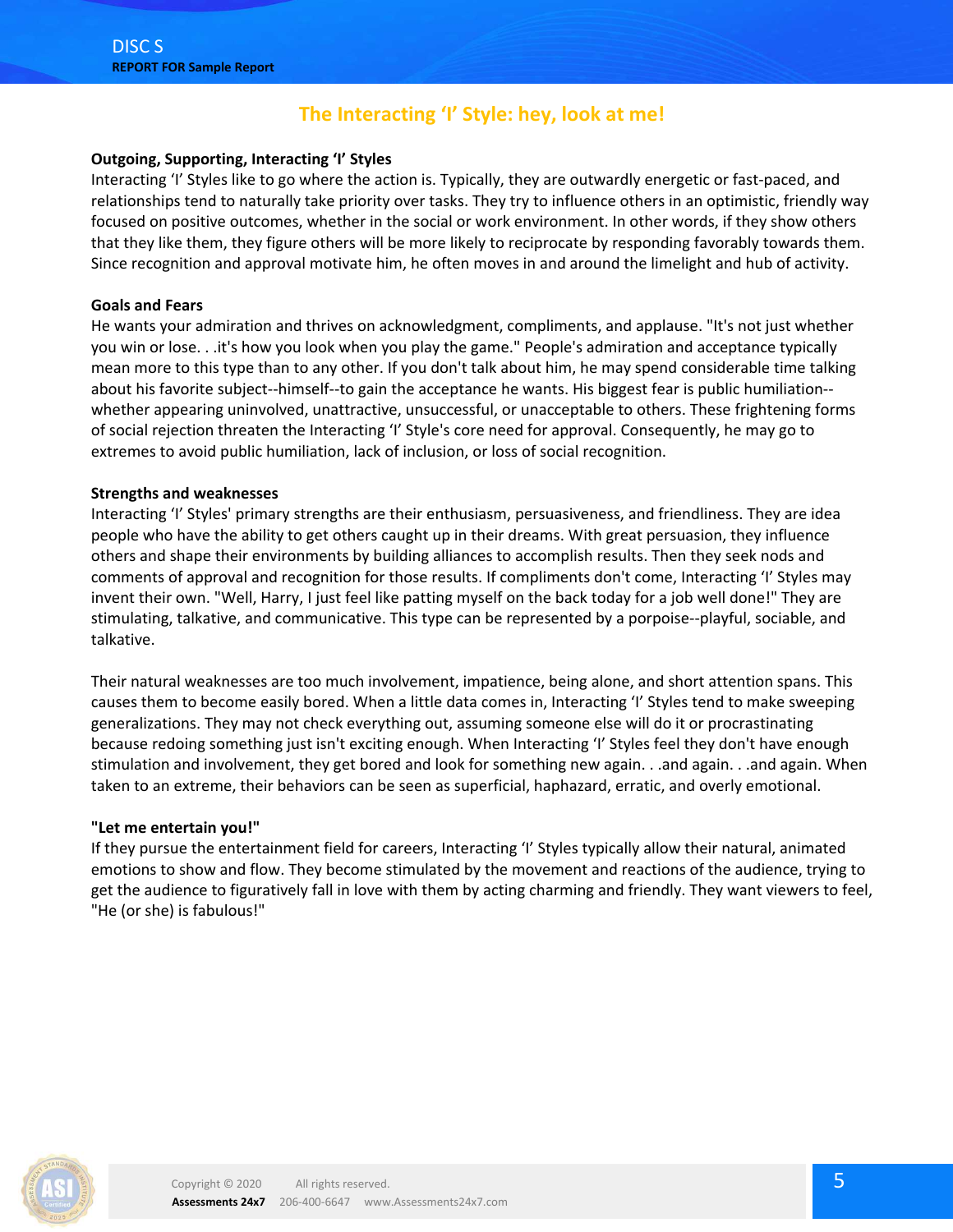## **The Interacting 'I' Style: hey, look at me!**

#### **Outgoing, Supporting, Interacting 'I' Styles**

Interacting 'I' Styles like to go where the action is. Typically, they are outwardly energetic or fast-paced, and relationships tend to naturally take priority over tasks. They try to influence others in an optimistic, friendly way focused on positive outcomes, whether in the social or work environment. In other words, if they show others that they like them, they figure others will be more likely to reciprocate by responding favorably towards them. Since recognition and approval motivate him, he often moves in and around the limelight and hub of activity.

#### **Goals and Fears**

He wants your admiration and thrives on acknowledgment, compliments, and applause. "It's not just whether you win or lose. . .it's how you look when you play the game." People's admiration and acceptance typically mean more to this type than to any other. If you don't talk about him, he may spend considerable time talking about his favorite subject--himself--to gain the acceptance he wants. His biggest fear is public humiliation- whether appearing uninvolved, unattractive, unsuccessful, or unacceptable to others. These frightening forms of social rejection threaten the Interacting 'I' Style's core need for approval. Consequently, he may go to extremes to avoid public humiliation, lack of inclusion, or loss of social recognition.

#### **Strengths and weaknesses**

Interacting 'I' Styles' primary strengths are their enthusiasm, persuasiveness, and friendliness. They are idea people who have the ability to get others caught up in their dreams. With great persuasion, they influence others and shape their environments by building alliances to accomplish results. Then they seek nods and comments of approval and recognition for those results. If compliments don't come, Interacting 'I' Styles may invent their own. "Well, Harry, I just feel like patting myself on the back today for a job well done!" They are stimulating, talkative, and communicative. This type can be represented by a porpoise--playful, sociable, and talkative.

Their natural weaknesses are too much involvement, impatience, being alone, and short attention spans. This causes them to become easily bored. When a little data comes in, Interacting 'I' Styles tend to make sweeping generalizations. They may not check everything out, assuming someone else will do it or procrastinating because redoing something just isn't exciting enough. When Interacting 'I' Styles feel they don't have enough stimulation and involvement, they get bored and look for something new again. . .and again. . .and again. When taken to an extreme, their behaviors can be seen as superficial, haphazard, erratic, and overly emotional.

#### **"Let me entertain you!"**

If they pursue the entertainment field for careers, Interacting 'I' Styles typically allow their natural, animated emotions to show and flow. They become stimulated by the movement and reactions of the audience, trying to get the audience to figuratively fall in love with them by acting charming and friendly. They want viewers to feel, "He (or she) is fabulous!"

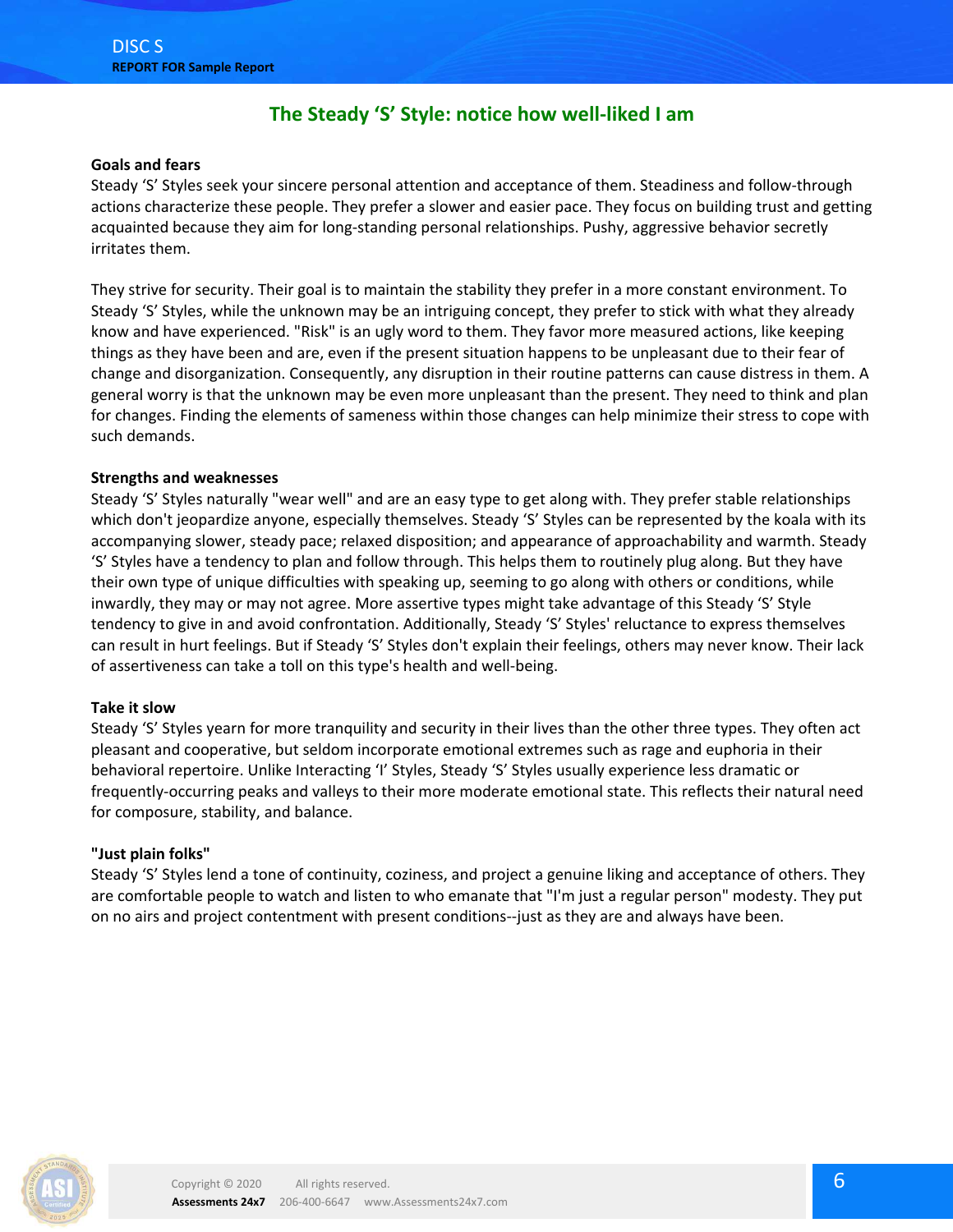## **The Steady 'S' Style: notice how well-liked I am**

#### **Goals and fears**

Steady 'S' Styles seek your sincere personal attention and acceptance of them. Steadiness and follow-through actions characterize these people. They prefer a slower and easier pace. They focus on building trust and getting acquainted because they aim for long-standing personal relationships. Pushy, aggressive behavior secretly irritates them.

They strive for security. Their goal is to maintain the stability they prefer in a more constant environment. To Steady 'S' Styles, while the unknown may be an intriguing concept, they prefer to stick with what they already know and have experienced. "Risk" is an ugly word to them. They favor more measured actions, like keeping things as they have been and are, even if the present situation happens to be unpleasant due to their fear of change and disorganization. Consequently, any disruption in their routine patterns can cause distress in them. A general worry is that the unknown may be even more unpleasant than the present. They need to think and plan for changes. Finding the elements of sameness within those changes can help minimize their stress to cope with such demands.

#### **Strengths and weaknesses**

Steady 'S' Styles naturally "wear well" and are an easy type to get along with. They prefer stable relationships which don't jeopardize anyone, especially themselves. Steady 'S' Styles can be represented by the koala with its accompanying slower, steady pace; relaxed disposition; and appearance of approachability and warmth. Steady 'S' Styles have a tendency to plan and follow through. This helps them to routinely plug along. But they have their own type of unique difficulties with speaking up, seeming to go along with others or conditions, while inwardly, they may or may not agree. More assertive types might take advantage of this Steady 'S' Style tendency to give in and avoid confrontation. Additionally, Steady 'S' Styles' reluctance to express themselves can result in hurt feelings. But if Steady 'S' Styles don't explain their feelings, others may never know. Their lack of assertiveness can take a toll on this type's health and well-being.

#### **Take it slow**

Steady 'S' Styles yearn for more tranquility and security in their lives than the other three types. They often act pleasant and cooperative, but seldom incorporate emotional extremes such as rage and euphoria in their behavioral repertoire. Unlike Interacting 'I' Styles, Steady 'S' Styles usually experience less dramatic or frequently-occurring peaks and valleys to their more moderate emotional state. This reflects their natural need for composure, stability, and balance.

#### **"Just plain folks"**

Steady 'S' Styles lend a tone of continuity, coziness, and project a genuine liking and acceptance of others. They are comfortable people to watch and listen to who emanate that "I'm just a regular person" modesty. They put on no airs and project contentment with present conditions--just as they are and always have been.

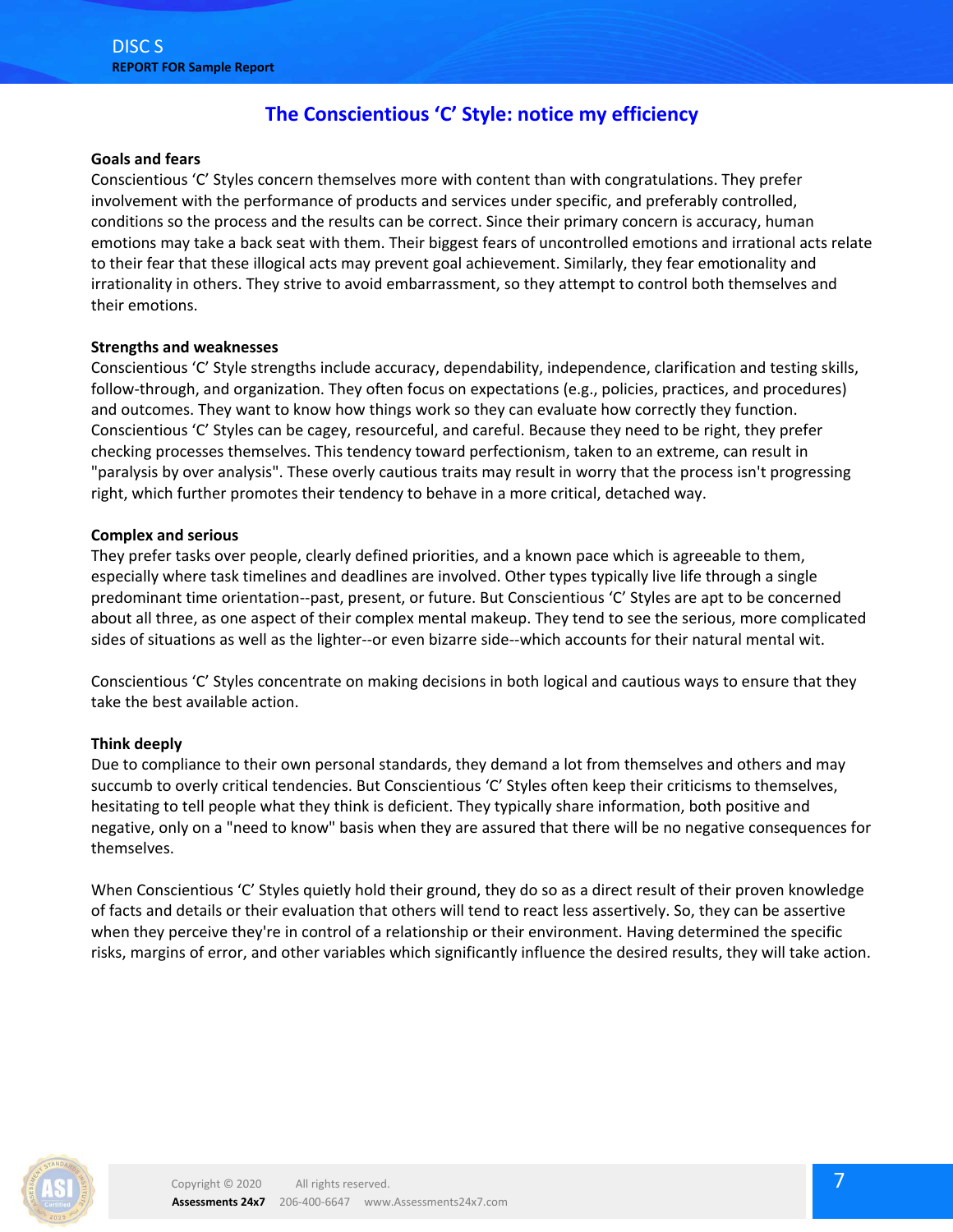## **The Conscientious 'C' Style: notice my efficiency**

#### **Goals and fears**

Conscientious 'C' Styles concern themselves more with content than with congratulations. They prefer involvement with the performance of products and services under specific, and preferably controlled, conditions so the process and the results can be correct. Since their primary concern is accuracy, human emotions may take a back seat with them. Their biggest fears of uncontrolled emotions and irrational acts relate to their fear that these illogical acts may prevent goal achievement. Similarly, they fear emotionality and irrationality in others. They strive to avoid embarrassment, so they attempt to control both themselves and their emotions.

#### **Strengths and weaknesses**

Conscientious 'C' Style strengths include accuracy, dependability, independence, clarification and testing skills, follow-through, and organization. They often focus on expectations (e.g., policies, practices, and procedures) and outcomes. They want to know how things work so they can evaluate how correctly they function. Conscientious 'C' Styles can be cagey, resourceful, and careful. Because they need to be right, they prefer checking processes themselves. This tendency toward perfectionism, taken to an extreme, can result in "paralysis by over analysis". These overly cautious traits may result in worry that the process isn't progressing right, which further promotes their tendency to behave in a more critical, detached way.

#### **Complex and serious**

They prefer tasks over people, clearly defined priorities, and a known pace which is agreeable to them, especially where task timelines and deadlines are involved. Other types typically live life through a single predominant time orientation--past, present, or future. But Conscientious 'C' Styles are apt to be concerned about all three, as one aspect of their complex mental makeup. They tend to see the serious, more complicated sides of situations as well as the lighter--or even bizarre side--which accounts for their natural mental wit.

Conscientious 'C' Styles concentrate on making decisions in both logical and cautious ways to ensure that they take the best available action.

#### **Think deeply**

Due to compliance to their own personal standards, they demand a lot from themselves and others and may succumb to overly critical tendencies. But Conscientious 'C' Styles often keep their criticisms to themselves, hesitating to tell people what they think is deficient. They typically share information, both positive and negative, only on a "need to know" basis when they are assured that there will be no negative consequences for themselves.

When Conscientious 'C' Styles quietly hold their ground, they do so as a direct result of their proven knowledge of facts and details or their evaluation that others will tend to react less assertively. So, they can be assertive when they perceive they're in control of a relationship or their environment. Having determined the specific risks, margins of error, and other variables which significantly influence the desired results, they will take action.

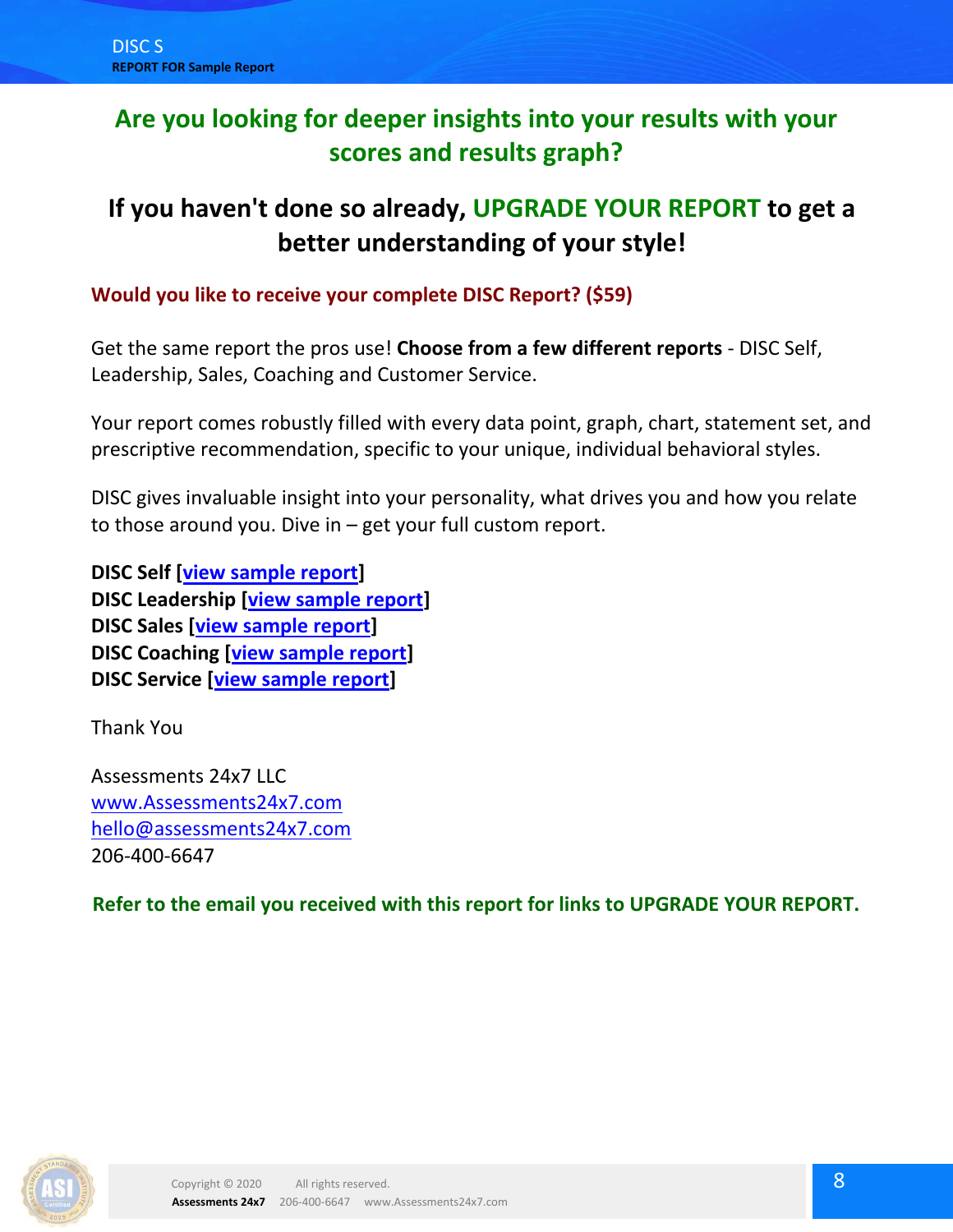# **Are you looking for deeper insights into your results with your scores and results graph?**

# **If you haven't done so already, UPGRADE YOUR REPORT to get a better understanding of your style!**

## **Would you like to receive your complete DISC Report? (\$59)**

Get the same report the pros use! **Choose from a few different reports** - DISC Self, Leadership, Sales, Coaching and Customer Service.

Your report comes robustly filled with every data point, graph, chart, statement set, and prescriptive recommendation, specific to your unique, individual behavioral styles.

DISC gives invaluable insight into your personality, what drives you and how you relate to those around you. Dive in – get your full custom report.

**DISC Self [\[view sample report](https://www.assessments24x7.com/reports/DISCselfSampleReport.pdf)] DISC Leadership [\[view sample report](https://www.assessments24x7.com/reports/DISCLeadershipSampleReport.pdf)] DISC Sales [[view sample report](https://www.assessments24x7.com/reports/SalesDISCselfSampleReport.pdf)] DISC Coaching [[view sample report](https://www.assessments24x7.com/reports/DISCCoaching.pdf)] DISC Service [[view sample report](https://www.assessments24x7.com/reports/DISCService.pdf)]**

Thank You

Assessments 24x7 LLC [www.Assessments24x7.com](http://www.assessments24x7.com/) [hello@assessments24x7.com](mailto:hello@assessments24x7.com) 206-400-6647

**Refer to the email you received with this report for links to UPGRADE YOUR REPORT.**